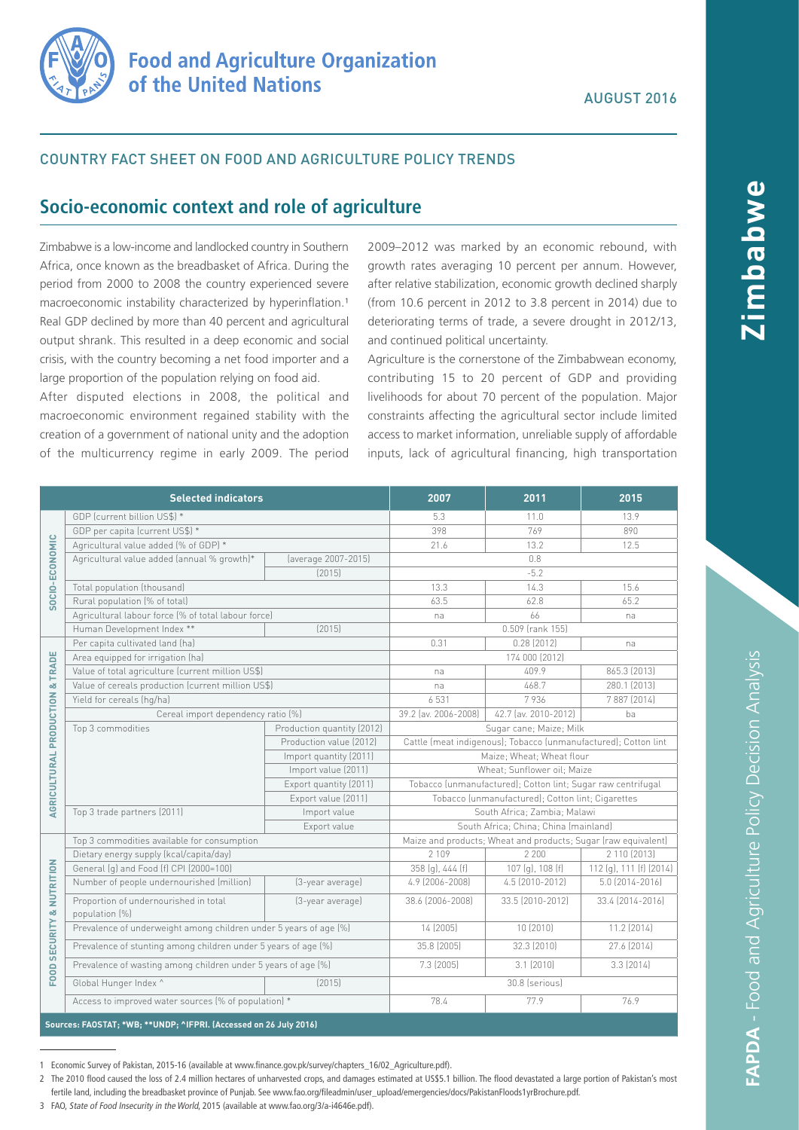

### COUNTRY FACT SHEET ON FOOD AND AGRICULTURE POLICY TRENDS

# **Socio-economic context and role of agriculture**

Zimbabwe is a low-income and landlocked country in Southern Africa, once known as the breadbasket of Africa. During the period from 2000 to 2008 the country experienced severe macroeconomic instability characterized by hyperinflation.<sup>1</sup> Real GDP declined by more than 40 percent and agricultural output shrank. This resulted in a deep economic and social crisis, with the country becoming a net food importer and a large proportion of the population relying on food aid.

After disputed elections in 2008, the political and macroeconomic environment regained stability with the creation of a government of national unity and the adoption of the multicurrency regime in early 2009. The period

2009–2012 was marked by an economic rebound, with growth rates averaging 10 percent per annum. However, after relative stabilization, economic growth declined sharply (from 10.6 percent in 2012 to 3.8 percent in 2014) due to deteriorating terms of trade, a severe drought in 2012/13, and continued political uncertainty.

Agriculture is the cornerstone of the Zimbabwean economy, contributing 15 to 20 percent of GDP and providing livelihoods for about 70 percent of the population. Major constraints affecting the agricultural sector include limited access to market information, unreliable supply of affordable inputs, lack of agricultural financing, high transportation

|                                            | <b>Selected indicators</b>                                         |                            | 2007                                                            | 2011                 | 2015                    |  |
|--------------------------------------------|--------------------------------------------------------------------|----------------------------|-----------------------------------------------------------------|----------------------|-------------------------|--|
| SOCIO-ECONOMIC                             | GDP (current billion US\$) *                                       |                            | 5.3                                                             | 11.0                 | 13.9                    |  |
|                                            | GDP per capita (current US\$) *                                    |                            | 398                                                             | 769                  | 890                     |  |
|                                            | Agricultural value added (% of GDP) *                              |                            | 21.6                                                            | 13.2                 | 12.5                    |  |
|                                            | Agricultural value added (annual % growth)*                        | (average 2007-2015)        | 0.8                                                             |                      |                         |  |
|                                            |                                                                    | [2015]                     | $-5.2$                                                          |                      |                         |  |
|                                            | Total population (thousand)                                        |                            | 13.3                                                            | 14.3                 | 15.6                    |  |
|                                            | Rural population (% of total)                                      |                            | 63.5                                                            | 62.8                 | 65.2                    |  |
|                                            | Agricultural labour force (% of total labour force)                |                            | na                                                              | 66                   | na                      |  |
|                                            | Human Development Index **                                         | [2015]                     |                                                                 | 0.509 (rank 155)     |                         |  |
| <b>AGRICULTURAL PRODUCTION &amp; TRADE</b> | Per capita cultivated land (ha)                                    |                            | 0.31                                                            | 0.28(2012)           | na                      |  |
|                                            | Area equipped for irrigation (ha)                                  |                            | 174 000 (2012)                                                  |                      |                         |  |
|                                            | Value of total agriculture (current million US\$)                  |                            | na                                                              | 409.9                | 865.3 (2013)            |  |
|                                            | Value of cereals production (current million US\$)                 |                            | na                                                              | 468.7                | 280.1 (2013)            |  |
|                                            | Yield for cereals (hg/ha)                                          |                            | 6 5 3 1                                                         | 7936                 | 7 887 (2014)            |  |
|                                            | Cereal import dependency ratio (%)                                 |                            | 39.2 (av. 2006-2008)                                            | 42.7 (av. 2010-2012) | ba                      |  |
|                                            | Top 3 commodities                                                  | Production quantity (2012) | Sugar cane; Maize; Milk                                         |                      |                         |  |
|                                            |                                                                    | Production value (2012)    | Cattle (meat indigenous); Tobacco (unmanufactured); Cotton lint |                      |                         |  |
|                                            |                                                                    | Import quantity (2011)     | Maize; Wheat; Wheat flour                                       |                      |                         |  |
|                                            |                                                                    | Import value (2011)        | Wheat; Sunflower oil; Maize                                     |                      |                         |  |
|                                            |                                                                    | Export quantity (2011)     | Tobacco (unmanufactured); Cotton lint; Sugar raw centrifugal    |                      |                         |  |
|                                            |                                                                    | Export value (2011)        | Tobacco (unmanufactured); Cotton lint; Cigarettes               |                      |                         |  |
|                                            | Top 3 trade partners (2011)                                        | Import value               | South Africa: Zambia: Malawi                                    |                      |                         |  |
|                                            |                                                                    | Export value               | South Africa; China; China (mainland)                           |                      |                         |  |
| FOOD SECURITY & NUTRITION                  | Top 3 commodities available for consumption                        |                            | Maize and products; Wheat and products; Sugar (raw equivalent)  |                      |                         |  |
|                                            | Dietary energy supply (kcal/capita/day)                            |                            | 2 1 0 9                                                         | 2 2 0 0              | 2 110 (2013)            |  |
|                                            | General (g) and Food (f) CPI (2000=100)                            |                            | 358 (g), 444 (f)                                                | 107 (g), 108 (f)     | 112 (g), 111 (f) (2014) |  |
|                                            | Number of people undernourished (million)                          | (3-year average)           | 4.9 (2006-2008)                                                 | 4.5 (2010-2012)      | 5.0 (2014-2016)         |  |
|                                            | Proportion of undernourished in total<br>population [%]            | (3-year average)           | 38.6 (2006-2008)                                                | 33.5 (2010-2012)     | 33.4 (2014-2016)        |  |
|                                            | Prevalence of underweight among children under 5 years of age (%)  |                            | 14 (2005)                                                       | 10 (2010)            | 11.2 (2014)             |  |
|                                            | Prevalence of stunting among children under 5 years of age (%)     |                            | 35.8 (2005)                                                     | 32.3 (2010)          | 27.6 (2014)             |  |
|                                            | Prevalence of wasting among children under 5 years of age (%)      |                            | 7.3 (2005)                                                      | 3.1(2010)            | 3.3(2014)               |  |
|                                            | Global Hunger Index ^                                              | [2015]                     | 30.8 (serious)                                                  |                      |                         |  |
|                                            | Access to improved water sources (% of population) *               |                            | 78.4                                                            | 77.9                 | 76.9                    |  |
|                                            | Sources: FAOSTAT; *WB; ** UNDP; ^IFPRI. (Accessed on 26 July 2016) |                            |                                                                 |                      |                         |  |

1 Economic Survey of Pakistan, 2015-16 (available at www.finance.gov.pk/survey/chapters\_16/02\_Agriculture.pdf).

2 The 2010 flood caused the loss of 2.4 million hectares of unharvested crops, and damages estimated at US\$5.1 billion. The flood devastated a large portion of Pakistan's most fertile land, including the breadbasket province of Punjab. See www.fao.org/fileadmin/user\_upload/emergencies/docs/PakistanFloods1yrBrochure.pdf.

**Zimbabwe**

**SMdeduil**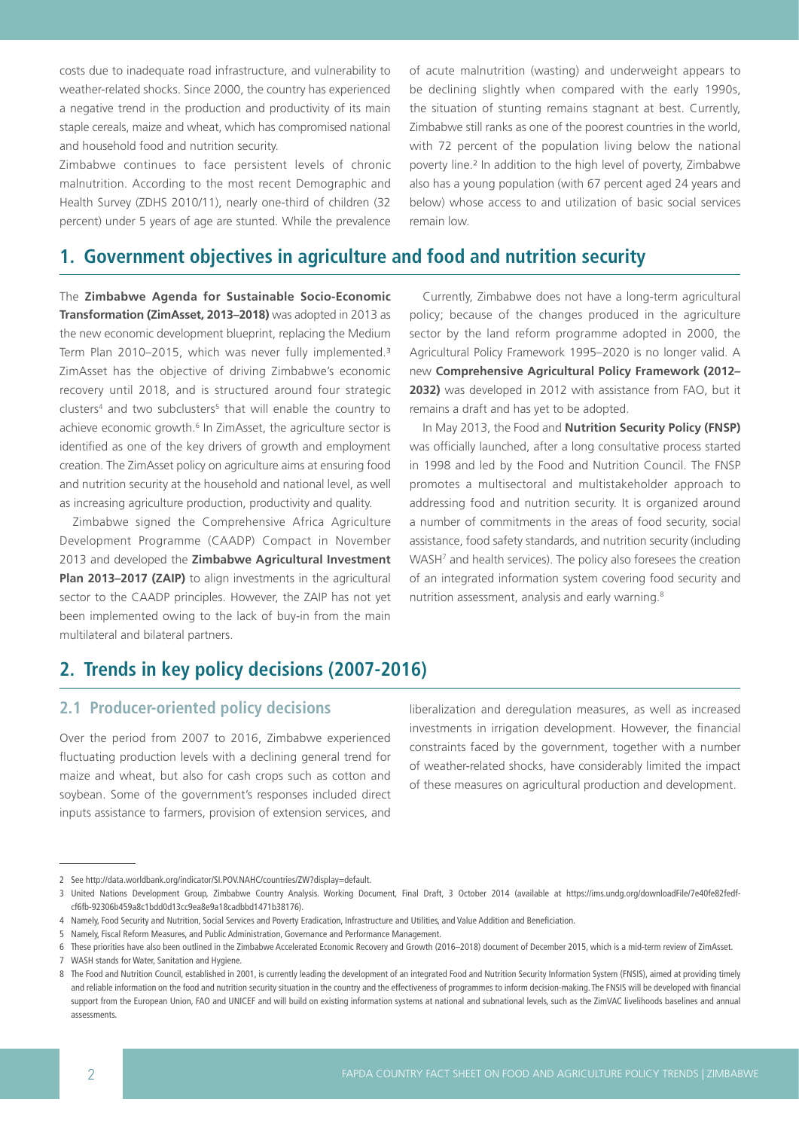costs due to inadequate road infrastructure, and vulnerability to weather-related shocks. Since 2000, the country has experienced a negative trend in the production and productivity of its main staple cereals, maize and wheat, which has compromised national and household food and nutrition security.

Zimbabwe continues to face persistent levels of chronic malnutrition. According to the most recent Demographic and Health Survey (ZDHS 2010/11), nearly one-third of children (32 percent) under 5 years of age are stunted. While the prevalence of acute malnutrition (wasting) and underweight appears to be declining slightly when compared with the early 1990s, the situation of stunting remains stagnant at best. Currently, Zimbabwe still ranks as one of the poorest countries in the world, with 72 percent of the population living below the national poverty line.² In addition to the high level of poverty, Zimbabwe also has a young population (with 67 percent aged 24 years and below) whose access to and utilization of basic social services remain low.

# **1. Government objectives in agriculture and food and nutrition security**

The **Zimbabwe Agenda for Sustainable Socio-Economic Transformation (ZimAsset, 2013–2018)** was adopted in 2013 as the new economic development blueprint, replacing the Medium Term Plan 2010–2015, which was never fully implemented.<sup>3</sup> ZimAsset has the objective of driving Zimbabwe's economic recovery until 2018, and is structured around four strategic clusters<sup>4</sup> and two subclusters<sup>5</sup> that will enable the country to achieve economic growth.<sup>6</sup> In ZimAsset, the agriculture sector is identified as one of the key drivers of growth and employment creation. The ZimAsset policy on agriculture aims at ensuring food and nutrition security at the household and national level, as well as increasing agriculture production, productivity and quality.

Zimbabwe signed the Comprehensive Africa Agriculture Development Programme (CAADP) Compact in November 2013 and developed the **Zimbabwe Agricultural Investment**  Plan 2013-2017 (ZAIP) to align investments in the agricultural sector to the CAADP principles. However, the ZAIP has not yet been implemented owing to the lack of buy-in from the main multilateral and bilateral partners.

Currently, Zimbabwe does not have a long-term agricultural policy; because of the changes produced in the agriculture sector by the land reform programme adopted in 2000, the Agricultural Policy Framework 1995–2020 is no longer valid. A new **Comprehensive Agricultural Policy Framework (2012– 2032)** was developed in 2012 with assistance from FAO, but it remains a draft and has yet to be adopted.

In May 2013, the Food and **Nutrition Security Policy (FNSP)** was officially launched, after a long consultative process started in 1998 and led by the Food and Nutrition Council. The FNSP promotes a multisectoral and multistakeholder approach to addressing food and nutrition security. It is organized around a number of commitments in the areas of food security, social assistance, food safety standards, and nutrition security (including WASH<sup>7</sup> and health services). The policy also foresees the creation of an integrated information system covering food security and nutrition assessment, analysis and early warning.<sup>8</sup>

# **2. Trends in key policy decisions (2007-2016)**

## **2.1 Producer-oriented policy decisions**

Over the period from 2007 to 2016, Zimbabwe experienced fluctuating production levels with a declining general trend for maize and wheat, but also for cash crops such as cotton and soybean. Some of the government's responses included direct inputs assistance to farmers, provision of extension services, and

liberalization and deregulation measures, as well as increased investments in irrigation development. However, the financial constraints faced by the government, together with a number of weather-related shocks, have considerably limited the impact of these measures on agricultural production and development.

<sup>2</sup> See http://data.worldbank.org/indicator/SI.POV.NAHC/countries/ZW?display=default.

<sup>3</sup> United Nations Development Group, Zimbabwe Country Analysis. Working Document, Final Draft, 3 October 2014 (available at https://ims.undg.org/downloadFile/7e40fe82fedfcf6fb-92306b459a8c1bdd0d13cc9ea8e9a18cadbbd1471b38176).

<sup>4</sup> Namely, Food Security and Nutrition, Social Services and Poverty Eradication, Infrastructure and Utilities, and Value Addition and Beneficiation.

<sup>5</sup> Namely, Fiscal Reform Measures, and Public Administration, Governance and Performance Management.

<sup>6</sup> These priorities have also been outlined in the Zimbabwe Accelerated Economic Recovery and Growth (2016–2018) document of December 2015, which is a mid-term review of ZimAsset.

<sup>7</sup> WASH stands for Water, Sanitation and Hygiene.

<sup>8</sup> The Food and Nutrition Council, established in 2001, is currently leading the development of an integrated Food and Nutrition Security Information System (FNSIS), aimed at providing timely and reliable information on the food and nutrition security situation in the country and the effectiveness of programmes to inform decision-making. The FNSIS will be developed with financial support from the European Union, FAO and UNICEF and will build on existing information systems at national and subnational levels, such as the ZimVAC livelihoods baselines and annual assessments[.](http://www.plancomm.gov.bd/wp-content/uploads/2013/09/SFYP_Part-2.pdf )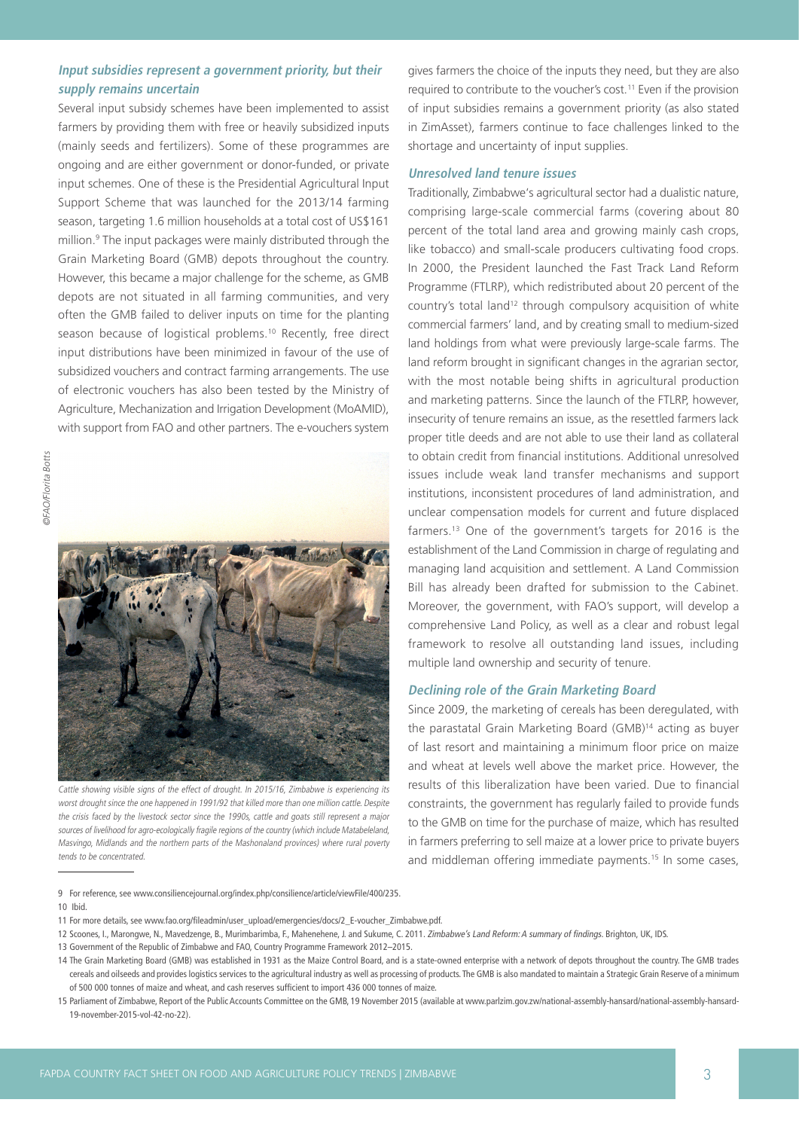#### **Input subsidies represent a government priority, but their supply remains uncertain**

Several input subsidy schemes have been implemented to assist farmers by providing them with free or heavily subsidized inputs (mainly seeds and fertilizers). Some of these programmes are ongoing and are either government or donor-funded, or private input schemes. One of these is the Presidential Agricultural Input Support Scheme that was launched for the 2013/14 farming season, targeting 1.6 million households at a total cost of US\$161 million.9 The input packages were mainly distributed through the Grain Marketing Board (GMB) depots throughout the country. However, this became a major challenge for the scheme, as GMB depots are not situated in all farming communities, and very often the GMB failed to deliver inputs on time for the planting season because of logistical problems.<sup>10</sup> Recently, free direct input distributions have been minimized in favour of the use of subsidized vouchers and contract farming arrangements. The use of electronic vouchers has also been tested by the Ministry of Agriculture, Mechanization and Irrigation Development (MoAMID), with support from FAO and other partners. The e-vouchers system



Cattle showing visible signs of the effect of drought. In 2015/16, Zimbabwe is experiencing its worst drought since the one happened in 1991/92 that killed more than one million cattle. Despite the crisis faced by the livestock sector since the 1990s, cattle and goats still represent a major sources of livelihood for agro-ecologically fragile regions of the country (which include Matabeleland, Masvingo, Midlands and the northern parts of the Mashonaland provinces) where rural poverty tends to be concentrated.

9 For reference, see www.consiliencejournal.org/index.php/consilience/article/viewFile/400/235. 10 Ibid.

- 11 For more details, see www.fao.org/fileadmin/user\_upload/emergencies/docs/2\_E-voucher\_Zimbabwe.pdf.
- 12 Scoones, I., Marongwe, N., Mavedzenge, B., Murimbarimba, F., Mahenehene, J. and Sukume, C. 2011. Zimbabwe's Land Reform: A summary of findings. Brighton, UK, IDS.

gives farmers the choice of the inputs they need, but they are also required to contribute to the voucher's cost.11 Even if the provision of input subsidies remains a government priority (as also stated in ZimAsset), farmers continue to face challenges linked to the shortage and uncertainty of input supplies.

#### **Unresolved land tenure issues**

Traditionally, Zimbabwe's agricultural sector had a dualistic nature, comprising large-scale commercial farms (covering about 80 percent of the total land area and growing mainly cash crops, like tobacco) and small-scale producers cultivating food crops. In 2000, the President launched the Fast Track Land Reform Programme (FTLRP), which redistributed about 20 percent of the country's total land<sup>12</sup> through compulsory acquisition of white commercial farmers' land, and by creating small to medium-sized land holdings from what were previously large-scale farms. The land reform brought in significant changes in the agrarian sector, with the most notable being shifts in agricultural production and marketing patterns. Since the launch of the FTLRP, however, insecurity of tenure remains an issue, as the resettled farmers lack proper title deeds and are not able to use their land as collateral to obtain credit from financial institutions. Additional unresolved issues include weak land transfer mechanisms and support institutions, inconsistent procedures of land administration, and unclear compensation models for current and future displaced farmers.13 One of the government's targets for 2016 is the establishment of the Land Commission in charge of regulating and managing land acquisition and settlement. A Land Commission Bill has already been drafted for submission to the Cabinet. Moreover, the government, with FAO's support, will develop a comprehensive Land Policy, as well as a clear and robust legal framework to resolve all outstanding land issues, including multiple land ownership and security of tenure.

#### **Declining role of the Grain Marketing Board**

Since 2009, the marketing of cereals has been deregulated, with the parastatal Grain Marketing Board (GMB)14 acting as buyer of last resort and maintaining a minimum floor price on maize and wheat at levels well above the market price. However, the results of this liberalization have been varied. Due to financial constraints, the government has regularly failed to provide funds to the GMB on time for the purchase of maize, which has resulted in farmers preferring to sell maize at a lower price to private buyers and middleman offering immediate payments.<sup>15</sup> In some cases,

<sup>13</sup> Government of the Republic of Zimbabwe and FAO, Country Programme Framework 2012–2015.

<sup>14</sup> The Grain Marketing Board (GMB) was established in 1931 as the Maize Control Board, and is a state-owned enterprise with a network of depots throughout the country. The GMB trades cereals and oilseeds and provides logistics services to the agricultural industry as well as processing of products. The GMB is also mandated to maintain a Strategic Grain Reserve of a minimum of 500 000 tonnes of maize and wheat, and cash reserves sufficient to import 436 000 tonnes of maize.

<sup>15</sup> Parliament of Zimbabwe, Report of the Public Accounts Committee on the GMB, 19 November 2015 (available at www.parlzim.gov.zw/national-assembly-hansard/national-assembly-hansard-19-november-2015-vol-42-no-22).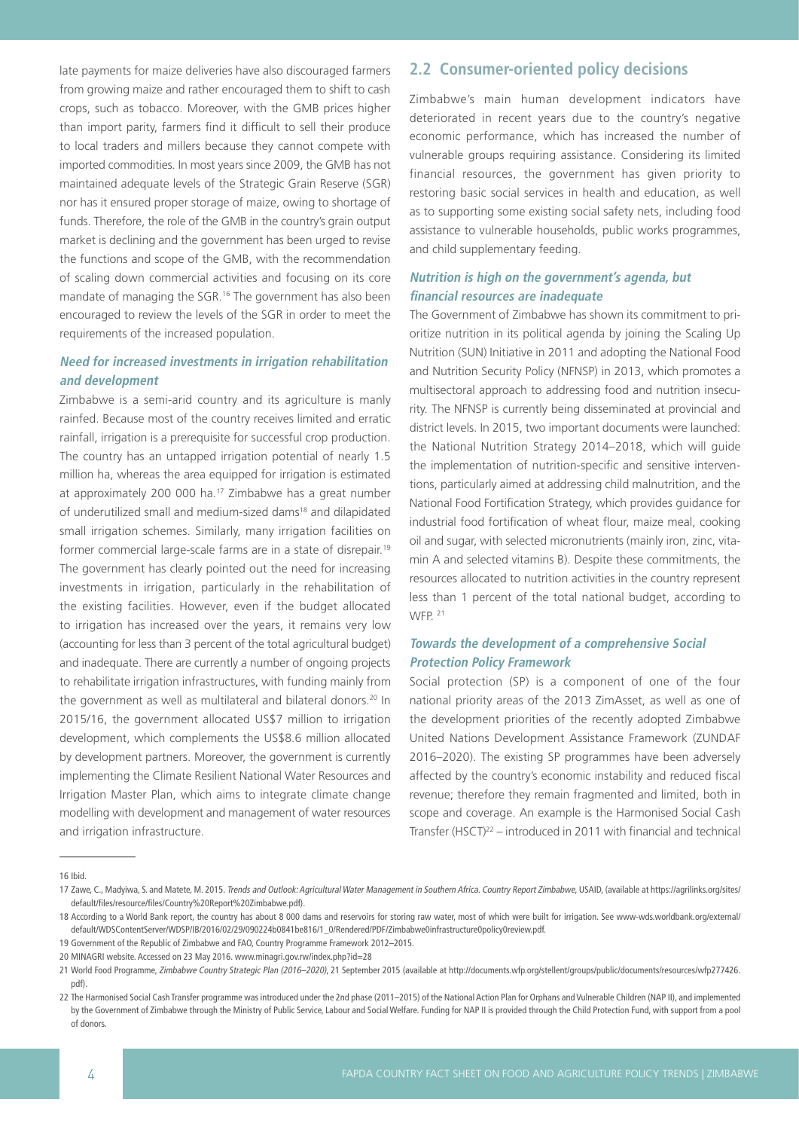late payments for maize deliveries have also discouraged farmers from growing maize and rather encouraged them to shift to cash crops, such as tobacco. Moreover, with the GMB prices higher than import parity, farmers find it difficult to sell their produce to local traders and millers because they cannot compete with imported commodities. In most years since 2009, the GMB has not maintained adequate levels of the Strategic Grain Reserve (SGR) nor has it ensured proper storage of maize, owing to shortage of funds. Therefore, the role of the GMB in the country's grain output market is declining and the government has been urged to revise the functions and scope of the GMB, with the recommendation of scaling down commercial activities and focusing on its core mandate of managing the SGR.<sup>16</sup> The government has also been encouraged to review the levels of the SGR in order to meet the requirements of the increased population.

### **Need for increased investments in irrigation rehabilitation and development**

Zimbabwe is a semi-arid country and its agriculture is manly rainfed. Because most of the country receives limited and erratic rainfall, irrigation is a prerequisite for successful crop production. The country has an untapped irrigation potential of nearly 1.5 million ha, whereas the area equipped for irrigation is estimated at approximately 200 000 ha.17 Zimbabwe has a great number of underutilized small and medium-sized dams<sup>18</sup> and dilapidated small irrigation schemes. Similarly, many irrigation facilities on former commercial large-scale farms are in a state of disrepair.19 The government has clearly pointed out the need for increasing investments in irrigation, particularly in the rehabilitation of the existing facilities. However, even if the budget allocated to irrigation has increased over the years, it remains very low (accounting for less than 3 percent of the total agricultural budget) and inadequate. There are currently a number of ongoing projects to rehabilitate irrigation infrastructures, with funding mainly from the government as well as multilateral and bilateral donors.<sup>20</sup> In 2015/16, the government allocated US\$7 million to irrigation development, which complements the US\$8.6 million allocated by development partners. Moreover, the government is currently implementing the Climate Resilient National Water Resources and Irrigation Master Plan, which aims to integrate climate change modelling with development and management of water resources and irrigation infrastructure.

## **2.2 Consumer-oriented policy decisions**

Zimbabwe's main human development indicators have deteriorated in recent years due to the country's negative economic performance, which has increased the number of vulnerable groups requiring assistance. Considering its limited financial resources, the government has given priority to restoring basic social services in health and education, as well as to supporting some existing social safety nets, including food assistance to vulnerable households, public works programmes, and child supplementary feeding.

### **Nutrition is high on the government's agenda, but financial resources are inadequate**

The Government of Zimbabwe has shown its commitment to prioritize nutrition in its political agenda by joining the Scaling Up Nutrition (SUN) Initiative in 2011 and adopting the National Food and Nutrition Security Policy (NFNSP) in 2013, which promotes a multisectoral approach to addressing food and nutrition insecurity. The NFNSP is currently being disseminated at provincial and district levels. In 2015, two important documents were launched: the National Nutrition Strategy 2014–2018, which will guide the implementation of nutrition-specific and sensitive interventions, particularly aimed at addressing child malnutrition, and the National Food Fortification Strategy, which provides guidance for industrial food fortification of wheat flour, maize meal, cooking oil and sugar, with selected micronutrients (mainly iron, zinc, vitamin A and selected vitamins B). Despite these commitments, the resources allocated to nutrition activities in the country represent less than 1 percent of the total national budget, according to WFP<sub>21</sub>

### **Towards the development of a comprehensive Social Protection Policy Framework**

Social protection (SP) is a component of one of the four national priority areas of the 2013 ZimAsset, as well as one of the development priorities of the recently adopted Zimbabwe United Nations Development Assistance Framework (ZUNDAF 2016–2020). The existing SP programmes have been adversely affected by the country's economic instability and reduced fiscal revenue; therefore they remain fragmented and limited, both in scope and coverage. An example is the Harmonised Social Cash Transfer (HSCT)22 – introduced in 2011 with financial and technical

<sup>16</sup> Ibid.

<sup>17</sup> Zawe, C., Madyiwa, S. and Matete, M. 2015. Trends and Outlook: Agricultural Water Management in Southern Africa. Country Report Zimbabwe, USAID, (available at https://agrilinks.org/sites/ default/files/resource/files/Country%20Report%20Zimbabwe.pdf).

<sup>18</sup> According to a World Bank report, the country has about 8 000 dams and reservoirs for storing raw water, most of which were built for irrigation. See www-wds.worldbank.org/external/ default/WDSContentServer/WDSP/IB/2016/02/29/090224b0841be816/1\_0/Rendered/PDF/Zimbabwe0infrastructure0policy0review.pdf.

<sup>19</sup> Government of the Republic of Zimbabwe and FAO, Country Programme Framework 2012–2015.

<sup>20</sup> MINAGRI website. Accessed on 23 May 2016. [www.minagri.gov.rw/index.php?id=28](http://www.minagri.gov.rw/index.php?id=28  ) 

<sup>21</sup> World Food Programme, Zimbabwe Country Strategic Plan (2016–2020), 21 September 2015 (available at http://documents.wfp.org/stellent/groups/public/documents/resources/wfp277426. pdf).

<sup>22</sup> The Harmonised Social Cash Transfer programme was introduced under the 2nd phase (2011–2015) of the National Action Plan for Orphans and Vulnerable Children (NAP II), and implemented by the Government of Zimbabwe through the Ministry of Public Service, Labour and Social Welfare. Funding for NAP II is provided through the Child Protection Fund, with support from a pool of donors.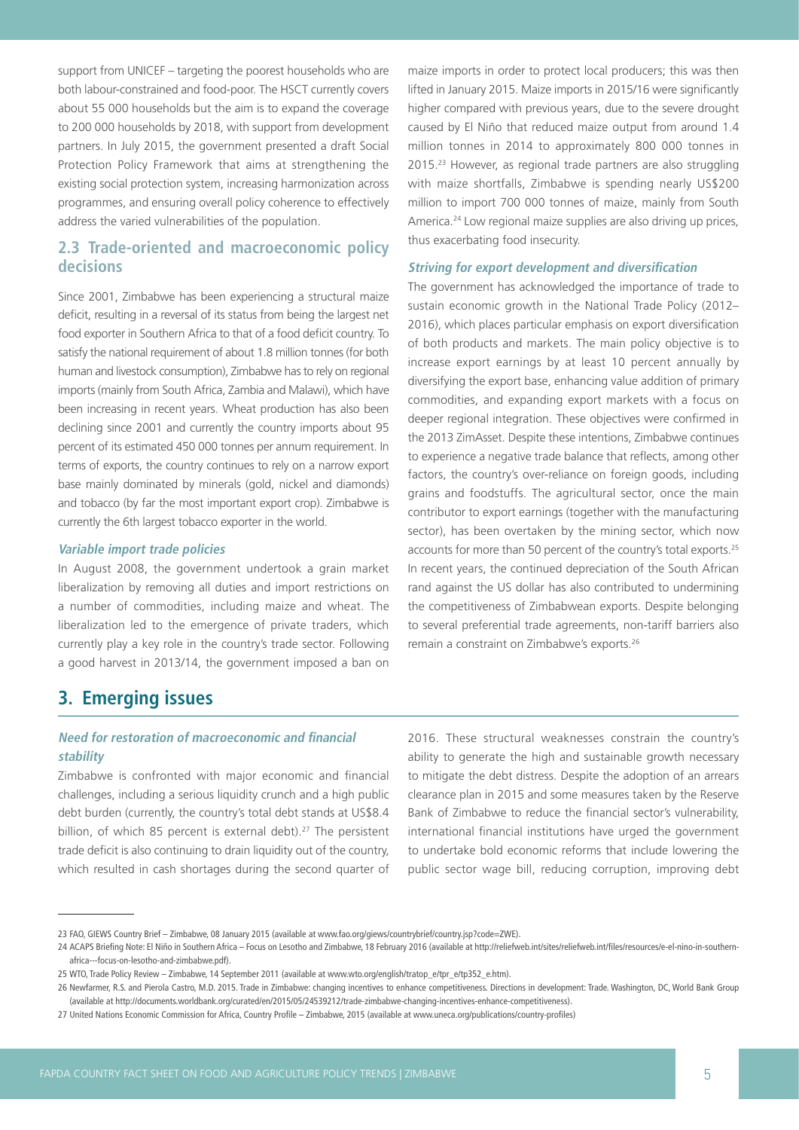support from UNICEF – targeting the poorest households who are both labour-constrained and food-poor. The HSCT currently covers about 55 000 households but the aim is to expand the coverage to 200 000 households by 2018, with support from development partners. In July 2015, the government presented a draft Social Protection Policy Framework that aims at strengthening the existing social protection system, increasing harmonization across programmes, and ensuring overall policy coherence to effectively address the varied vulnerabilities of the population.

## **2.3 Trade-oriented and macroeconomic policy decisions**

Since 2001, Zimbabwe has been experiencing a structural maize deficit, resulting in a reversal of its status from being the largest net food exporter in Southern Africa to that of a food deficit country. To satisfy the national requirement of about 1.8 million tonnes (for both human and livestock consumption), Zimbabwe has to rely on regional imports (mainly from South Africa, Zambia and Malawi), which have been increasing in recent years. Wheat production has also been declining since 2001 and currently the country imports about 95 percent of its estimated 450 000 tonnes per annum requirement. In terms of exports, the country continues to rely on a narrow export base mainly dominated by minerals (gold, nickel and diamonds) and tobacco (by far the most important export crop). Zimbabwe is currently the 6th largest tobacco exporter in the world.

#### **Variable import trade policies**

In August 2008, the government undertook a grain market liberalization by removing all duties and import restrictions on a number of commodities, including maize and wheat. The liberalization led to the emergence of private traders, which currently play a key role in the country's trade sector. Following a good harvest in 2013/14, the government imposed a ban on maize imports in order to protect local producers; this was then lifted in January 2015. Maize imports in 2015/16 were significantly higher compared with previous years, due to the severe drought caused by El Niño that reduced maize output from around 1.4 million tonnes in 2014 to approximately 800 000 tonnes in 2015.23 However, as regional trade partners are also struggling with maize shortfalls, Zimbabwe is spending nearly US\$200 million to import 700 000 tonnes of maize, mainly from South America.<sup>24</sup> Low regional maize supplies are also driving up prices, thus exacerbating food insecurity.

#### **Striving for export development and diversification**

The government has acknowledged the importance of trade to sustain economic growth in the National Trade Policy (2012– 2016), which places particular emphasis on export diversification of both products and markets. The main policy objective is to increase export earnings by at least 10 percent annually by diversifying the export base, enhancing value addition of primary commodities, and expanding export markets with a focus on deeper regional integration. These objectives were confirmed in the 2013 ZimAsset. Despite these intentions, Zimbabwe continues to experience a negative trade balance that reflects, among other factors, the country's over-reliance on foreign goods, including grains and foodstuffs. The agricultural sector, once the main contributor to export earnings (together with the manufacturing sector), has been overtaken by the mining sector, which now accounts for more than 50 percent of the country's total exports.25 In recent years, the continued depreciation of the South African rand against the US dollar has also contributed to undermining the competitiveness of Zimbabwean exports. Despite belonging to several preferential trade agreements, non-tariff barriers also remain a constraint on Zimbabwe's exports.26

## **3. Emerging issues**

#### **Need for restoration of macroeconomic and financial stability**

Zimbabwe is confronted with major economic and financial challenges, including a serious liquidity crunch and a high public debt burden (currently, the country's total debt stands at US\$8.4 billion, of which 85 percent is external debt).<sup>27</sup> The persistent trade deficit is also continuing to drain liquidity out of the country, which resulted in cash shortages during the second quarter of

2016. These structural weaknesses constrain the country's ability to generate the high and sustainable growth necessary to mitigate the debt distress. Despite the adoption of an arrears clearance plan in 2015 and some measures taken by the Reserve Bank of Zimbabwe to reduce the financial sector's vulnerability, international financial institutions have urged the government to undertake bold economic reforms that include lowering the public sector wage bill, reducing corruption, improving debt

<sup>23</sup> FAO, GIEWS Country Brief – Zimbabwe, 08 January 2015 (available at www.fao.org/giews/countrybrief/country.jsp?code=ZWE).

<sup>24</sup> ACAPS Briefing Note: El Niño in Southern Africa – Focus on Lesotho and Zimbabwe, 18 February 2016 (available at http://reliefweb.int/sites/reliefweb.int/files/resources/e-el-nino-in-southernafrica---focus-on-lesotho-and-zimbabwe.pdf).

<sup>25</sup> WTO, Trade Policy Review – Zimbabwe, 14 September 2011 (available at www.wto.org/english/tratop\_e/tpr\_e/tp352\_e.htm).

<sup>26</sup> Newfarmer, R.S. and Pierola Castro, M.D. 2015. Trade in Zimbabwe: changing incentives to enhance competitiveness. Directions in development: Trade. Washington, DC, World Bank Group (available at http://documents.worldbank.org/curated/en/2015/05/24539212/trade-zimbabwe-changing-incentives-enhance-competitiveness).

<sup>27</sup> United Nations Economic Commission for Africa, Country Profile – Zimbabwe, 2015 (available at www.uneca.org/publications/country-profiles)